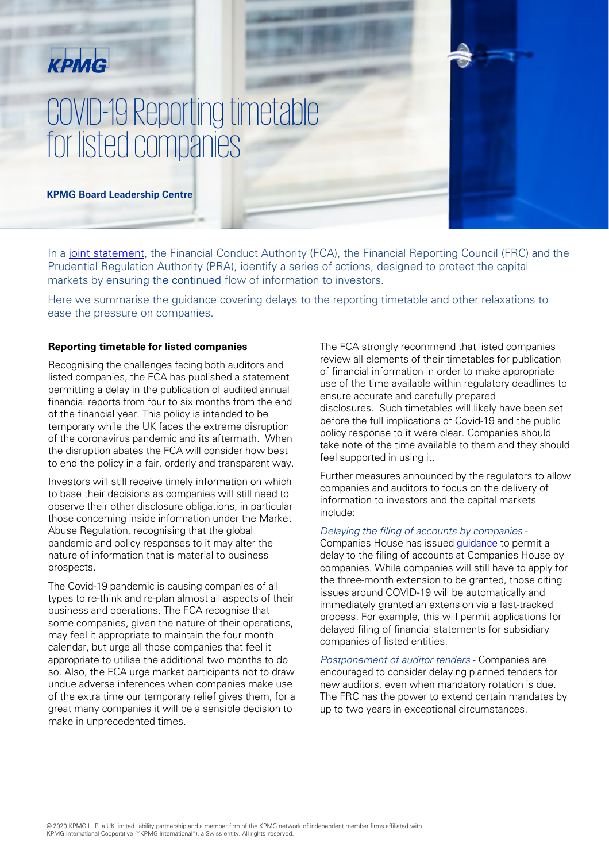## KPMG

# COVID-19 Reporting timetable for listed companies

**KPMG Board Leadership Centre** 

In a [joint statement](http://www.frc.org.uk/about-the-frc/covid-19/covid19-joint-statement-26th-march-2020), the Financial Conduct Authority (FCA), the Financial Reporting Council (FRC) and the Prudential Regulation Authority (PRA), identify a series of actions, designed to protect the capital markets by ensuring the continued flow of information to investors.

Here we summarise the guidance covering delays to the reporting timetable and other relaxations to ease the pressure on companies.

#### **Reporting timetable for listed companies**

Recognising the challenges facing both auditors and listed companies, the FCA has published a statement permitting a delay in the publication of audited annual financial reports from four to six months from the end of the financial year. This policy is intended to be temporary while the UK faces the extreme disruption of the coronavirus pandemic and its aftermath. When the disruption abates the FCA will consider how best to end the policy in a fair, orderly and transparent way.

Investors will still receive timely information on which to base their decisions as companies will still need to observe their other disclosure obligations, in particular those concerning inside information under the Market Abuse Regulation, recognising that the global pandemic and policy responses to it may alter the nature of information that is material to business prospects.

The Covid-19 pandemic is causing companies of all types to re-think and re-plan almost all aspects of their business and operations. The FCA recognise that some companies, given the nature of their operations, may feel it appropriate to maintain the four month calendar, but urge all those companies that feel it appropriate to utilise the additional two months to do so. Also, the FCA urge market participants not to draw undue adverse inferences when companies make use of the extra time our temporary relief gives them, for a great many companies it will be a sensible decision to make in unprecedented times.

The FCA strongly recommend that listed companies review all elements of their timetables for publication of financial information in order to make appropriate use of the time available within regulatory deadlines to ensure accurate and carefully prepared disclosures. Such timetables will likely have been set before the full implications of Covid-19 and the public policy response to it were clear. Companies should take note of the time available to them and they should feel supported in using it.

Further measures announced by the regulators to allow companies and auditors to focus on the delivery of information to investors and the capital markets include:

#### Delaying the filing of accounts by companies -

Companies House has issued [guidance](https://www.gov.uk/government/news/companies-to-receive-3-month-extension-period-to-file-accounts-during-covid-19) to permit a delay to the filing of accounts at Companies House by companies. While companies will still have to apply for the three-month extension to be granted, those citing issues around COVID-19 will be automatically and immediately granted an extension via a fast-tracked process. For example, this will permit applications for delayed filing of financial statements for subsidiary companies of listed entities.

Postponement of auditor tenders - Companies are encouraged to consider delaying planned tenders for new auditors, even when mandatory rotation is due. The FRC has the power to extend certain mandates by up to two years in exceptional circumstances.